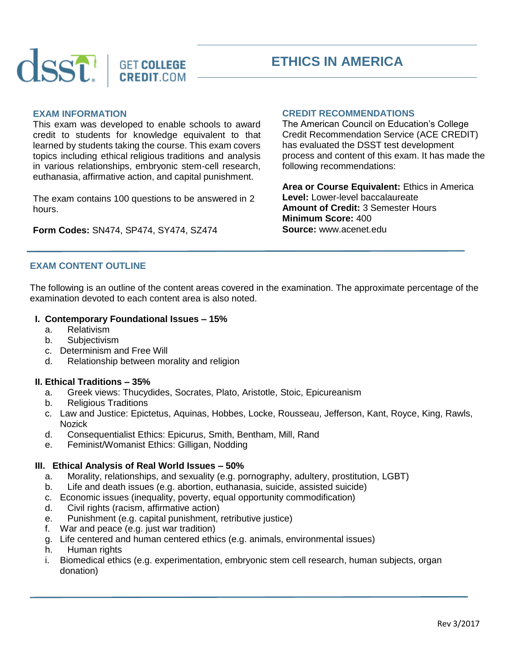



# **EXAM INFORMATION**

This exam was developed to enable schools to award credit to students for knowledge equivalent to that learned by students taking the course. This exam covers topics including ethical religious traditions and analysis in various relationships, embryonic stem-cell research, euthanasia, affirmative action, and capital punishment.

The exam contains 100 questions to be answered in 2 hours.

**Form Codes:** SN474, SP474, SY474, SZ474

## **CREDIT RECOMMENDATIONS**

The American Council on Education's College Credit Recommendation Service (ACE CREDIT) has evaluated the DSST test development process and content of this exam. It has made the following recommendations:

**Area or Course Equivalent:** Ethics in America **Level:** Lower-level baccalaureate **Amount of Credit:** 3 Semester Hours **Minimum Score:** 400 **Source:** www.acenet.edu

# **EXAM CONTENT OUTLINE**

The following is an outline of the content areas covered in the examination. The approximate percentage of the examination devoted to each content area is also noted.

#### **I. Contemporary Foundational Issues – 15%**

- a. Relativism
- b. Subjectivism
- c. Determinism and Free Will
- d. Relationship between morality and religion

#### **II. Ethical Traditions – 35%**

- a. Greek views: Thucydides, Socrates, Plato, Aristotle, Stoic, Epicureanism
- b. Religious Traditions
- c. Law and Justice: Epictetus, Aquinas, Hobbes, Locke, Rousseau, Jefferson, Kant, Royce, King, Rawls, Nozick
- d. Consequentialist Ethics: Epicurus, Smith, Bentham, Mill, Rand
- e. Feminist/Womanist Ethics: Gilligan, Nodding

#### **III. Ethical Analysis of Real World Issues – 50%**

- a. Morality, relationships, and sexuality (e.g. pornography, adultery, prostitution, LGBT)
- b. Life and death issues (e.g. abortion, euthanasia, suicide, assisted suicide)
- c. Economic issues (inequality, poverty, equal opportunity commodification)
- d. Civil rights (racism, affirmative action)
- e. Punishment (e.g. capital punishment, retributive justice)
- f. War and peace (e.g. just war tradition)
- g. Life centered and human centered ethics (e.g. animals, environmental issues)
- h. Human rights
- i. Biomedical ethics (e.g. experimentation, embryonic stem cell research, human subjects, organ donation)